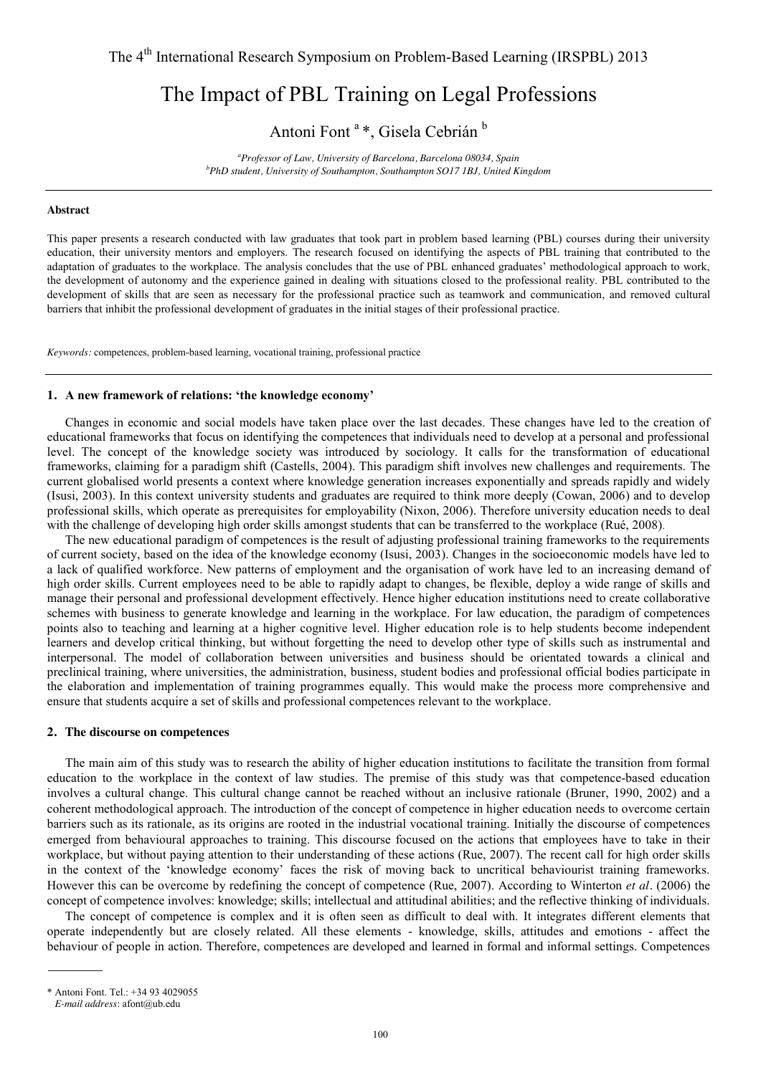# The Impact of PBL Training on Legal Professions

# Antoni Font<sup>a</sup>\*, Gisela Cebrián<sup>b</sup>

*a Professor of Law, University of Barcelona, Barcelona 08034, Spain b PhD student, University of Southampton, Southampton SO17 1BJ, United Kingdom* 

### **Abstract**

This paper presents a research conducted with law graduates that took part in problem based learning (PBL) courses during their university education, their university mentors and employers. The research focused on identifying the aspects of PBL training that contributed to the adaptation of graduates to the workplace. The analysis concludes that the use of PBL enhanced graduates' methodological approach to work, the development of autonomy and the experience gained in dealing with situations closed to the professional reality. PBL contributed to the development of skills that are seen as necessary for the professional practice such as teamwork and communication, and removed cultural barriers that inhibit the professional development of graduates in the initial stages of their professional practice.

*Keywords:* competences, problem-based learning, vocational training, professional practice

# **1. A new framework of relations: 'the knowledge economy'**

Changes in economic and social models have taken place over the last decades. These changes have led to the creation of educational frameworks that focus on identifying the competences that individuals need to develop at a personal and professional level. The concept of the knowledge society was introduced by sociology. It calls for the transformation of educational frameworks, claiming for a paradigm shift (Castells, 2004). This paradigm shift involves new challenges and requirements. The current globalised world presents a context where knowledge generation increases exponentially and spreads rapidly and widely (Isusi, 2003). In this context university students and graduates are required to think more deeply (Cowan, 2006) and to develop professional skills, which operate as prerequisites for employability (Nixon, 2006). Therefore university education needs to deal with the challenge of developing high order skills amongst students that can be transferred to the workplace (Rué, 2008).

The new educational paradigm of competences is the result of adjusting professional training frameworks to the requirements of current society, based on the idea of the knowledge economy (Isusi, 2003). Changes in the socioeconomic models have led to a lack of qualified workforce. New patterns of employment and the organisation of work have led to an increasing demand of high order skills. Current employees need to be able to rapidly adapt to changes, be flexible, deploy a wide range of skills and manage their personal and professional development effectively. Hence higher education institutions need to create collaborative schemes with business to generate knowledge and learning in the workplace. For law education, the paradigm of competences points also to teaching and learning at a higher cognitive level. Higher education role is to help students become independent learners and develop critical thinking, but without forgetting the need to develop other type of skills such as instrumental and interpersonal. The model of collaboration between universities and business should be orientated towards a clinical and preclinical training, where universities, the administration, business, student bodies and professional official bodies participate in the elaboration and implementation of training programmes equally. This would make the process more comprehensive and ensure that students acquire a set of skills and professional competences relevant to the workplace.

## **2. The discourse on competences**

The main aim of this study was to research the ability of higher education institutions to facilitate the transition from formal education to the workplace in the context of law studies. The premise of this study was that competence-based education involves a cultural change. This cultural change cannot be reached without an inclusive rationale (Bruner, 1990, 2002) and a coherent methodological approach. The introduction of the concept of competence in higher education needs to overcome certain barriers such as its rationale, as its origins are rooted in the industrial vocational training. Initially the discourse of competences emerged from behavioural approaches to training. This discourse focused on the actions that employees have to take in their workplace, but without paying attention to their understanding of these actions (Rue, 2007). The recent call for high order skills in the context of the 'knowledge economy' faces the risk of moving back to uncritical behaviourist training frameworks. However this can be overcome by redefining the concept of competence (Rue, 2007). According to Winterton *et al.* (2006) the concept of competence involves: knowledge; skills; intellectual and attitudinal abilities; and the reflective thinking of individuals.

The concept of competence is complex and it is often seen as difficult to deal with. It integrates different elements that operate independently but are closely related. All these elements - knowledge, skills, attitudes and emotions - affect the behaviour of people in action. Therefore, competences are developed and learned in formal and informal settings. Competences

<sup>\*</sup> Antoni Font. Tel.: +34 93 4029055

*E-mail address*: afont@ub.edu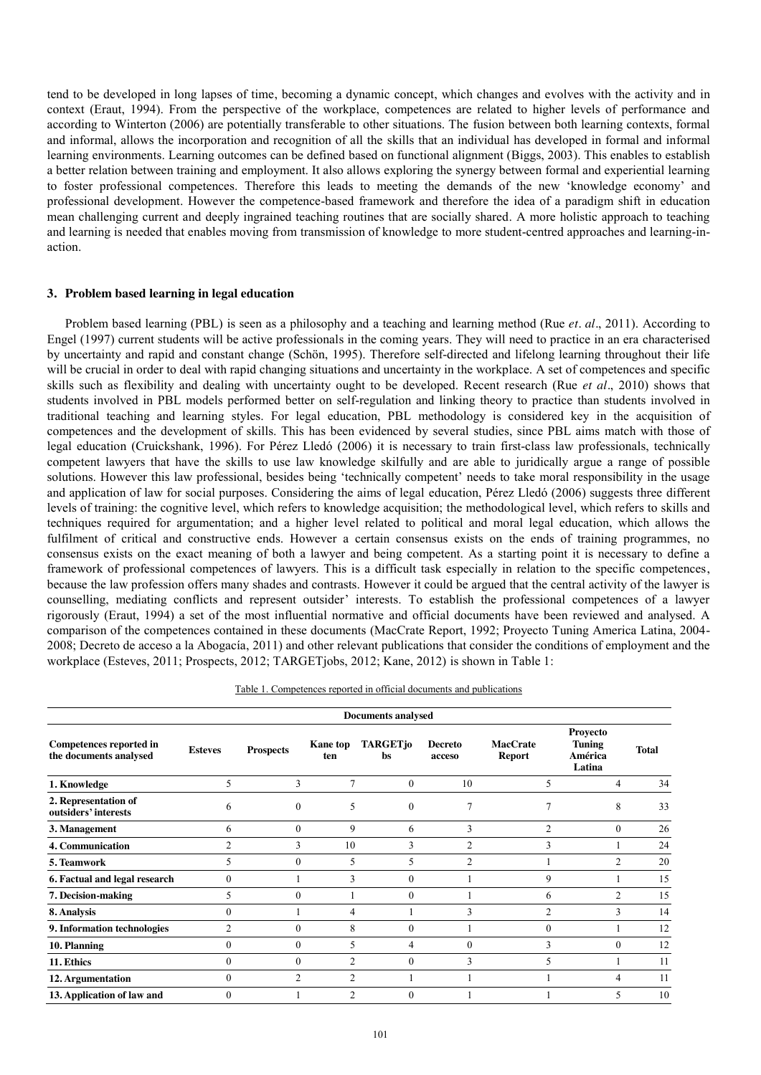tend to be developed in long lapses of time, becoming a dynamic concept, which changes and evolves with the activity and in context (Eraut, 1994). From the perspective of the workplace, competences are related to higher levels of performance and according to Winterton (2006) are potentially transferable to other situations. The fusion between both learning contexts, formal and informal, allows the incorporation and recognition of all the skills that an individual has developed in formal and informal learning environments. Learning outcomes can be defined based on functional alignment (Biggs, 2003). This enables to establish a better relation between training and employment. It also allows exploring the synergy between formal and experiential learning to foster professional competences. Therefore this leads to meeting the demands of the new 'knowledge economy' and professional development. However the competence-based framework and therefore the idea of a paradigm shift in education mean challenging current and deeply ingrained teaching routines that are socially shared. A more holistic approach to teaching and learning is needed that enables moving from transmission of knowledge to more student-centred approaches and learning-inaction.

# **3. Problem based learning in legal education**

Problem based learning (PBL) is seen as a philosophy and a teaching and learning method (Rue *et. al.*, 2011). According to Engel (1997) current students will be active professionals in the coming years. They will need to practice in an era characterised by uncertainty and rapid and constant change (Schön, 1995). Therefore self-directed and lifelong learning throughout their life will be crucial in order to deal with rapid changing situations and uncertainty in the workplace. A set of competences and specific skills such as flexibility and dealing with uncertainty ought to be developed. Recent research (Rue *et al.*, 2010) shows that students involved in PBL models performed better on self-regulation and linking theory to practice than students involved in traditional teaching and learning styles. For legal education, PBL methodology is considered key in the acquisition of competences and the development of skills. This has been evidenced by several studies, since PBL aims match with those of legal education (Cruickshank, 1996). For Pérez Lledó (2006) it is necessary to train first-class law professionals, technically competent lawyers that have the skills to use law knowledge skilfully and are able to juridically argue a range of possible solutions. However this law professional, besides being 'technically competent' needs to take moral responsibility in the usage and application of law for social purposes. Considering the aims of legal education, Pérez Lledó (2006) suggests three different levels of training: the cognitive level, which refers to knowledge acquisition; the methodological level, which refers to skills and techniques required for argumentation; and a higher level related to political and moral legal education, which allows the fulfilment of critical and constructive ends. However a certain consensus exists on the ends of training programmes, no consensus exists on the exact meaning of both a lawyer and being competent. As a starting point it is necessary to define a framework of professional competences of lawyers. This is a difficult task especially in relation to the specific competences, because the law profession offers many shades and contrasts. However it could be argued that the central activity of the lawyer is counselling, mediating conflicts and represent outsider' interests. To establish the professional competences of a lawyer rigorously (Eraut, 1994) a set of the most influential normative and official documents have been reviewed and analysed. A comparison of the competences contained in these documents (MacCrate Report, 1992; Proyecto Tuning America Latina, 2004- 2008; Decreto de acceso a la Abogacía, 2011) and other relevant publications that consider the conditions of employment and the workplace (Esteves, 2011; Prospects, 2012; TARGETjobs, 2012; Kane, 2012) is shown in Table 1:

|                                                          | <b>Documents analysed</b> |                  |                        |                       |                   |                                  |                                                |              |  |  |  |  |
|----------------------------------------------------------|---------------------------|------------------|------------------------|-----------------------|-------------------|----------------------------------|------------------------------------------------|--------------|--|--|--|--|
| <b>Competences reported in</b><br>the documents analysed | <b>Esteves</b>            | <b>Prospects</b> | <b>Kane top</b><br>ten | <b>TARGETjo</b><br>bs | Decreto<br>acceso | <b>MacCrate</b><br><b>Report</b> | Proyecto<br><b>Tuning</b><br>América<br>Latina | <b>Total</b> |  |  |  |  |
| 1. Knowledge                                             | 5                         | 3                | $\overline{7}$         | $\mathbf{0}$          | 10                | 5                                | $\overline{4}$                                 | 34           |  |  |  |  |
| 2. Representation of<br>outsiders' interests             | 6                         | $\theta$         | 5                      | $\mathbf{0}$          | 7                 | $\tau$                           | 8                                              | 33           |  |  |  |  |
| 3. Management                                            | 6                         | $\mathbf{0}$     | 9                      | 6                     | 3                 | 2                                | $\overline{0}$                                 | 26           |  |  |  |  |
| <b>4. Communication</b>                                  | 2                         | 3                | 10                     | 3                     | 2                 | 3                                |                                                | 24           |  |  |  |  |
| 5. Teamwork                                              | 5                         | $\Omega$         | 5                      | 5                     | $\overline{2}$    |                                  | $\overline{2}$                                 | 20           |  |  |  |  |
| 6. Factual and legal research                            | $\theta$                  |                  | 3                      | $\Omega$              |                   | 9                                |                                                | 15           |  |  |  |  |
| 7. Decision-making                                       | 5                         | $\theta$         |                        | $\Omega$              |                   | 6                                | $\overline{2}$                                 | 15           |  |  |  |  |
| 8. Analysis                                              | $\theta$                  |                  | 4                      |                       | 3                 | $\overline{c}$                   | 3                                              | 14           |  |  |  |  |
| 9. Information technologies                              | $\overline{2}$            | $\theta$         | 8                      | $\Omega$              |                   | $\mathbf{0}$                     |                                                | 12           |  |  |  |  |
| 10. Planning                                             | $\theta$                  | $\boldsymbol{0}$ | 5                      | 4                     | $\theta$          | 3                                | $\theta$                                       | 12           |  |  |  |  |
| 11. Ethics                                               | $\theta$                  | $\Omega$         | $\overline{2}$         | $\Omega$              | 3                 | 5                                |                                                | 11           |  |  |  |  |
| 12. Argumentation                                        | $\mathbf{0}$              | $\overline{2}$   | $\overline{2}$         |                       |                   |                                  | 4                                              | 11           |  |  |  |  |
| 13. Application of law and                               | $\mathbf{0}$              |                  | $\overline{2}$         | $\mathbf{0}$          |                   |                                  | 5                                              | 10           |  |  |  |  |

| Table 1. Competences reported in official documents and publications |  |  |  |
|----------------------------------------------------------------------|--|--|--|
|                                                                      |  |  |  |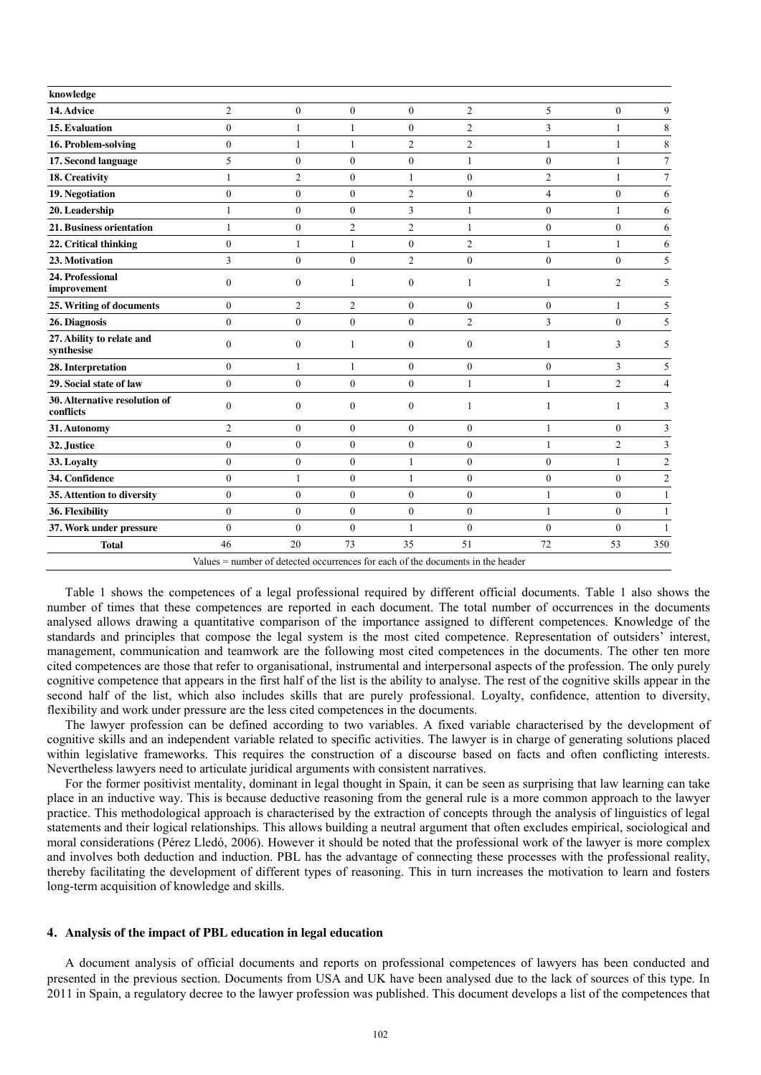| knowledge                                  |                |                  |                  |                  |                  |                  |                  |                |
|--------------------------------------------|----------------|------------------|------------------|------------------|------------------|------------------|------------------|----------------|
| 14. Advice                                 | $\overline{2}$ | $\boldsymbol{0}$ | $\boldsymbol{0}$ | $\boldsymbol{0}$ | $\boldsymbol{2}$ | 5                | $\boldsymbol{0}$ | 9              |
| 15. Evaluation                             | $\overline{0}$ | 1                | $\mathbf{1}$     | $\overline{0}$   | $\overline{2}$   | 3                | 1                | 8              |
| 16. Problem-solving                        | $\mathbf{0}$   | $\mathbf{1}$     | 1                | $\overline{c}$   | $\overline{2}$   | 1                | $\mathbf{1}$     | 8              |
| 17. Second language                        | 5              | $\overline{0}$   | $\boldsymbol{0}$ | $\overline{0}$   | $\mathbf{1}$     | $\boldsymbol{0}$ | $\mathbf{1}$     | $\tau$         |
| 18. Creativity                             | 1              | $\overline{c}$   | $\boldsymbol{0}$ | 1                | $\boldsymbol{0}$ | $\mathfrak{2}$   | 1                | 7              |
| 19. Negotiation                            | $\theta$       | $\overline{0}$   | $\mathbf{0}$     | $\overline{2}$   | $\overline{0}$   | $\overline{4}$   | $\overline{0}$   | 6              |
| 20. Leadership                             | 1              | $\boldsymbol{0}$ | $\boldsymbol{0}$ | 3                | $\mathbf{1}$     | $\mathbf{0}$     | 1                | 6              |
| 21. Business orientation                   | 1              | $\boldsymbol{0}$ | $\overline{c}$   | $\overline{2}$   | $\mathbf{1}$     | $\boldsymbol{0}$ | $\boldsymbol{0}$ | 6              |
| 22. Critical thinking                      | $\mathbf{0}$   | 1                | 1                | $\overline{0}$   | $\overline{2}$   | 1                | 1                | 6              |
| 23. Motivation                             | 3              | $\boldsymbol{0}$ | $\boldsymbol{0}$ | $\overline{2}$   | $\boldsymbol{0}$ | $\boldsymbol{0}$ | $\boldsymbol{0}$ | 5              |
| 24. Professional<br>improvement            | $\mathbf{0}$   | $\overline{0}$   | 1                | $\mathbf{0}$     | 1                | 1                | $\overline{2}$   | 5              |
| 25. Writing of documents                   | $\mathbf{0}$   | $\overline{c}$   | $\overline{c}$   | $\overline{0}$   | $\boldsymbol{0}$ | $\mathbf{0}$     | 1                | 5              |
| 26. Diagnosis                              | $\theta$       | $\overline{0}$   | $\boldsymbol{0}$ | $\overline{0}$   | $\overline{2}$   | 3                | $\overline{0}$   | 5              |
| 27. Ability to relate and<br>synthesise    | $\theta$       | $\theta$         | 1                | $\theta$         | $\mathbf{0}$     | 1                | 3                | 5              |
| 28. Interpretation                         | $\mathbf{0}$   | 1                | 1                | $\mathbf{0}$     | $\boldsymbol{0}$ | $\boldsymbol{0}$ | 3                | 5              |
| 29. Social state of law                    | $\theta$       | $\overline{0}$   | $\boldsymbol{0}$ | $\theta$         | $\mathbf{1}$     | $\mathbf{1}$     | $\overline{c}$   | $\overline{4}$ |
| 30. Alternative resolution of<br>conflicts | $\theta$       | $\mathbf{0}$     | $\mathbf{0}$     | $\mathbf{0}$     | 1                |                  |                  | 3              |
| 31. Autonomy                               | $\overline{2}$ | $\overline{0}$   | $\mathbf{0}$     | $\overline{0}$   | $\overline{0}$   | 1                | $\mathbf{0}$     | 3              |
| 32. Justice                                | $\mathbf{0}$   | $\overline{0}$   | $\mathbf{0}$     | $\mathbf{0}$     | $\mathbf{0}$     | 1                | $\overline{2}$   | 3              |
| 33. Loyalty                                | $\mathbf{0}$   | $\overline{0}$   | $\mathbf{0}$     | 1                | $\boldsymbol{0}$ | $\mathbf{0}$     | 1                | $\overline{c}$ |
| 34. Confidence                             | $\mathbf{0}$   | 1                | $\boldsymbol{0}$ | 1                | $\boldsymbol{0}$ | $\boldsymbol{0}$ | $\boldsymbol{0}$ | $\overline{2}$ |
| 35. Attention to diversity                 | $\mathbf{0}$   | $\boldsymbol{0}$ | $\boldsymbol{0}$ | $\mathbf{0}$     | $\boldsymbol{0}$ | 1                | $\boldsymbol{0}$ | 1              |
| 36. Flexibility                            | $\Omega$       | $\overline{0}$   | $\boldsymbol{0}$ | $\mathbf{0}$     | $\mathbf{0}$     | 1                | $\boldsymbol{0}$ |                |
| 37. Work under pressure                    | $\theta$       | $\overline{0}$   | $\mathbf{0}$     | $\mathbf{1}$     | $\boldsymbol{0}$ | $\mathbf{0}$     | $\mathbf{0}$     | $\mathbf{1}$   |
| <b>Total</b>                               | 46             | 20               | 73               | 35               | 51               | 72               | 53               | 350            |

Values = number of detected occurrences for each of the documents in the header

Table 1 shows the competences of a legal professional required by different official documents. Table 1 also shows the number of times that these competences are reported in each document. The total number of occurrences in the documents analysed allows drawing a quantitative comparison of the importance assigned to different competences. Knowledge of the standards and principles that compose the legal system is the most cited competence. Representation of outsiders' interest, management, communication and teamwork are the following most cited competences in the documents. The other ten more cited competences are those that refer to organisational, instrumental and interpersonal aspects of the profession. The only purely cognitive competence that appears in the first half of the list is the ability to analyse. The rest of the cognitive skills appear in the second half of the list, which also includes skills that are purely professional. Loyalty, confidence, attention to diversity, flexibility and work under pressure are the less cited competences in the documents.

The lawyer profession can be defined according to two variables. A fixed variable characterised by the development of cognitive skills and an independent variable related to specific activities. The lawyer is in charge of generating solutions placed within legislative frameworks. This requires the construction of a discourse based on facts and often conflicting interests. Nevertheless lawyers need to articulate juridical arguments with consistent narratives.

For the former positivist mentality, dominant in legal thought in Spain, it can be seen as surprising that law learning can take place in an inductive way. This is because deductive reasoning from the general rule is a more common approach to the lawyer practice. This methodological approach is characterised by the extraction of concepts through the analysis of linguistics of legal statements and their logical relationships. This allows building a neutral argument that often excludes empirical, sociological and moral considerations (Pérez Lledó, 2006). However it should be noted that the professional work of the lawyer is more complex and involves both deduction and induction. PBL has the advantage of connecting these processes with the professional reality, thereby facilitating the development of different types of reasoning. This in turn increases the motivation to learn and fosters long-term acquisition of knowledge and skills.

# **4. Analysis of the impact of PBL education in legal education**

A document analysis of official documents and reports on professional competences of lawyers has been conducted and presented in the previous section. Documents from USA and UK have been analysed due to the lack of sources of this type. In 2011 in Spain, a regulatory decree to the lawyer profession was published. This document develops a list of the competences that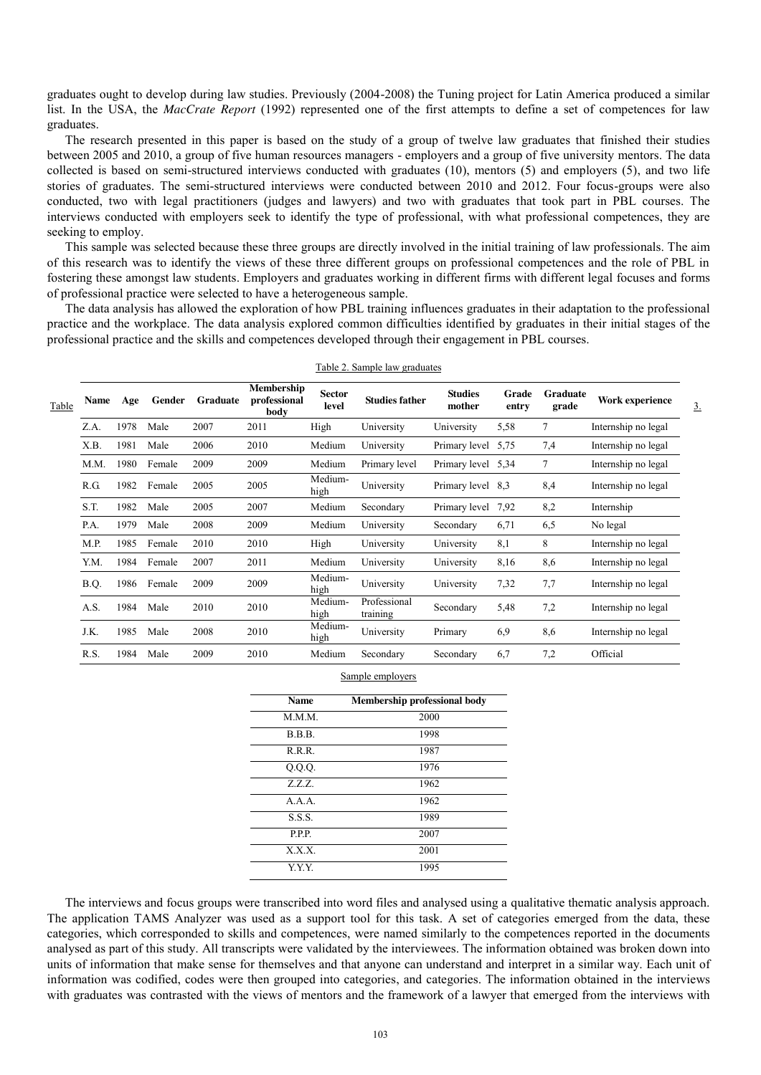graduates ought to develop during law studies. Previously (2004-2008) the Tuning project for Latin America produced a similar list. In the USA, the *MacCrate Report* (1992) represented one of the first attempts to define a set of competences for law graduates.

The research presented in this paper is based on the study of a group of twelve law graduates that finished their studies between 2005 and 2010, a group of five human resources managers - employers and a group of five university mentors. The data collected is based on semi-structured interviews conducted with graduates (10), mentors (5) and employers (5), and two life stories of graduates. The semi-structured interviews were conducted between 2010 and 2012. Four focus-groups were also conducted, two with legal practitioners (judges and lawyers) and two with graduates that took part in PBL courses. The interviews conducted with employers seek to identify the type of professional, with what professional competences, they are seeking to employ.

This sample was selected because these three groups are directly involved in the initial training of law professionals. The aim of this research was to identify the views of these three different groups on professional competences and the role of PBL in fostering these amongst law students. Employers and graduates working in different firms with different legal focuses and forms of professional practice were selected to have a heterogeneous sample.

The data analysis has allowed the exploration of how PBL training influences graduates in their adaptation to the professional practice and the workplace. The data analysis explored common difficulties identified by graduates in their initial stages of the professional practice and the skills and competences developed through their engagement in PBL courses.

| <b>Name</b> | <b>Graduate</b><br>Gender<br>Age |        | Membership<br>professional<br>body | <b>Sector</b><br>level | <b>Studies father</b> | <b>Studies</b><br>mother | Grade<br>entry     | Graduate<br>grade | Work experience |                     |
|-------------|----------------------------------|--------|------------------------------------|------------------------|-----------------------|--------------------------|--------------------|-------------------|-----------------|---------------------|
| Z.A.        | 1978                             | Male   | 2007                               | 2011                   | High                  | University               | University         | 5,58              | 7               | Internship no legal |
| X.B.        | 1981                             | Male   | 2006                               | 2010                   | Medium                | University               | Primary level      | 5,75              | 7,4             | Internship no legal |
| M.M.        | 1980                             | Female | 2009                               | 2009                   | Medium                | Primary level            | Primary level 5,34 |                   | $\tau$          | Internship no legal |
| R.G.        | 1982                             | Female | 2005                               | 2005                   | Medium-<br>high       | University               | Primary level      | 8,3               | 8,4             | Internship no legal |
| S.T.        | 1982                             | Male   | 2005                               | 2007                   | Medium                | Secondary                | Primary level      | 7,92              | 8,2             | Internship          |
| P.A.        | 1979                             | Male   | 2008                               | 2009                   | Medium                | University               | Secondary          | 6,71              | 6,5             | No legal            |
| M.P.        | 1985                             | Female | 2010                               | 2010                   | High                  | University               | University         | 8,1               | 8               | Internship no legal |
| Y.M.        | 1984                             | Female | 2007                               | 2011                   | Medium                | University               | University         | 8,16              | 8,6             | Internship no legal |
| B.Q.        | 1986                             | Female | 2009                               | 2009                   | Medium-<br>high       | University               | University         | 7,32              | 7,7             | Internship no legal |
| A.S.        | 1984                             | Male   | 2010                               | 2010                   | Medium-<br>high       | Professional<br>training | Secondary          | 5,48              | 7,2             | Internship no legal |
| J.K.        | 1985                             | Male   | 2008                               | 2010                   | Medium-<br>high       | University               | Primary            | 6,9               | 8,6             | Internship no legal |
| R.S.        | 1984                             | Male   | 2009                               | 2010                   | Medium                | Secondary                | Secondary          | 6,7               | 7,2             | Official            |

|  | Table 2. Sample law graduates |
|--|-------------------------------|
|  |                               |

| Sample employers |  |  |
|------------------|--|--|
|                  |  |  |

| <b>Membership professional body</b> |
|-------------------------------------|
| 2000                                |
| 1998                                |
| 1987                                |
| 1976                                |
| 1962                                |
| 1962                                |
| 1989                                |
| 2007                                |
| 2001                                |
| 1995                                |
|                                     |

The interviews and focus groups were transcribed into word files and analysed using a qualitative thematic analysis approach. The application TAMS Analyzer was used as a support tool for this task. A set of categories emerged from the data, these categories, which corresponded to skills and competences, were named similarly to the competences reported in the documents analysed as part of this study. All transcripts were validated by the interviewees. The information obtained was broken down into units of information that make sense for themselves and that anyone can understand and interpret in a similar way. Each unit of information was codified, codes were then grouped into categories, and categories. The information obtained in the interviews with graduates was contrasted with the views of mentors and the framework of a lawyer that emerged from the interviews with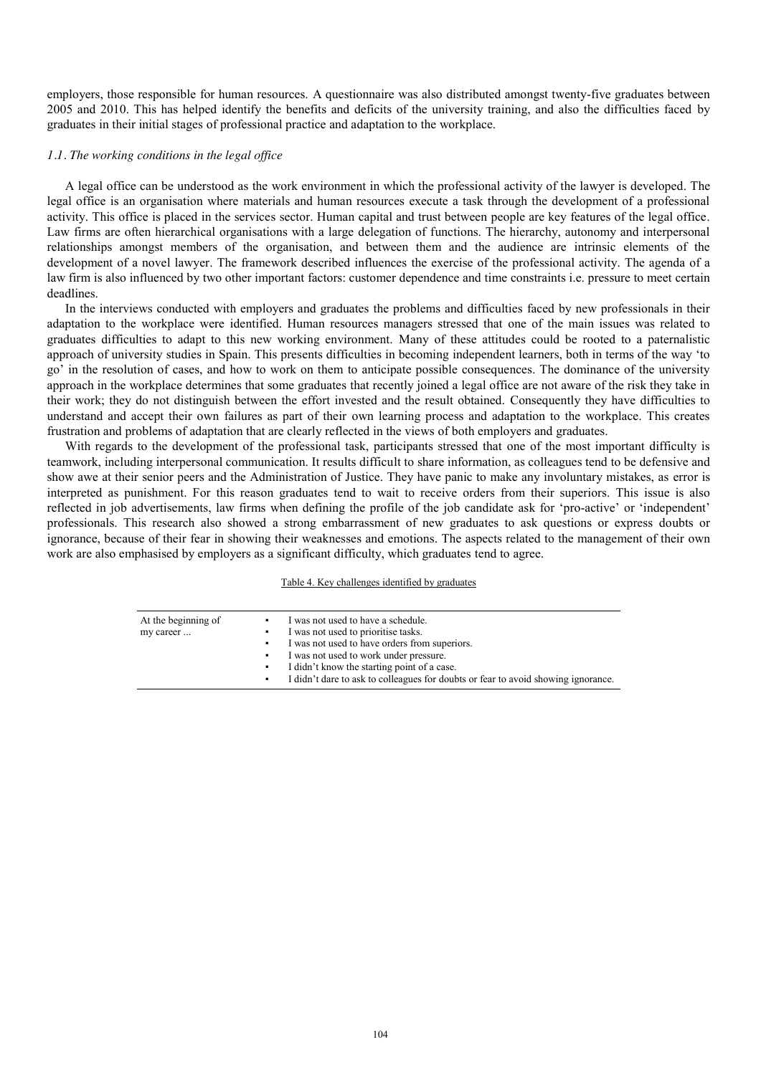employers, those responsible for human resources. A questionnaire was also distributed amongst twenty-five graduates between 2005 and 2010. This has helped identify the benefits and deficits of the university training, and also the difficulties faced by graduates in their initial stages of professional practice and adaptation to the workplace.

# *1.1. The working conditions in the legal office*

A legal office can be understood as the work environment in which the professional activity of the lawyer is developed. The legal office is an organisation where materials and human resources execute a task through the development of a professional activity. This office is placed in the services sector. Human capital and trust between people are key features of the legal office. Law firms are often hierarchical organisations with a large delegation of functions. The hierarchy, autonomy and interpersonal relationships amongst members of the organisation, and between them and the audience are intrinsic elements of the development of a novel lawyer. The framework described influences the exercise of the professional activity. The agenda of a law firm is also influenced by two other important factors: customer dependence and time constraints i.e. pressure to meet certain deadlines.

In the interviews conducted with employers and graduates the problems and difficulties faced by new professionals in their adaptation to the workplace were identified. Human resources managers stressed that one of the main issues was related to graduates difficulties to adapt to this new working environment. Many of these attitudes could be rooted to a paternalistic approach of university studies in Spain. This presents difficulties in becoming independent learners, both in terms of the way 'to go' in the resolution of cases, and how to work on them to anticipate possible consequences. The dominance of the university approach in the workplace determines that some graduates that recently joined a legal office are not aware of the risk they take in their work; they do not distinguish between the effort invested and the result obtained. Consequently they have difficulties to understand and accept their own failures as part of their own learning process and adaptation to the workplace. This creates frustration and problems of adaptation that are clearly reflected in the views of both employers and graduates.

With regards to the development of the professional task, participants stressed that one of the most important difficulty is teamwork, including interpersonal communication. It results difficult to share information, as colleagues tend to be defensive and show awe at their senior peers and the Administration of Justice. They have panic to make any involuntary mistakes, as error is interpreted as punishment. For this reason graduates tend to wait to receive orders from their superiors. This issue is also reflected in job advertisements, law firms when defining the profile of the job candidate ask for 'pro-active' or 'independent' professionals. This research also showed a strong embarrassment of new graduates to ask questions or express doubts or ignorance, because of their fear in showing their weaknesses and emotions. The aspects related to the management of their own work are also emphasised by employers as a significant difficulty, which graduates tend to agree.

### Table 4. Key challenges identified by graduates

| At the beginning of |                           | I was not used to have a schedule.                                                |
|---------------------|---------------------------|-----------------------------------------------------------------------------------|
| my career           |                           | I was not used to prioritise tasks.                                               |
|                     | $\mathbf{R}^{\text{max}}$ | I was not used to have orders from superiors.                                     |
|                     | <b>All Control</b>        | I was not used to work under pressure.                                            |
|                     | $\mathbf{R}^{\text{max}}$ | I didn't know the starting point of a case.                                       |
|                     |                           | I didn't dare to ask to colleagues for doubts or fear to avoid showing ignorance. |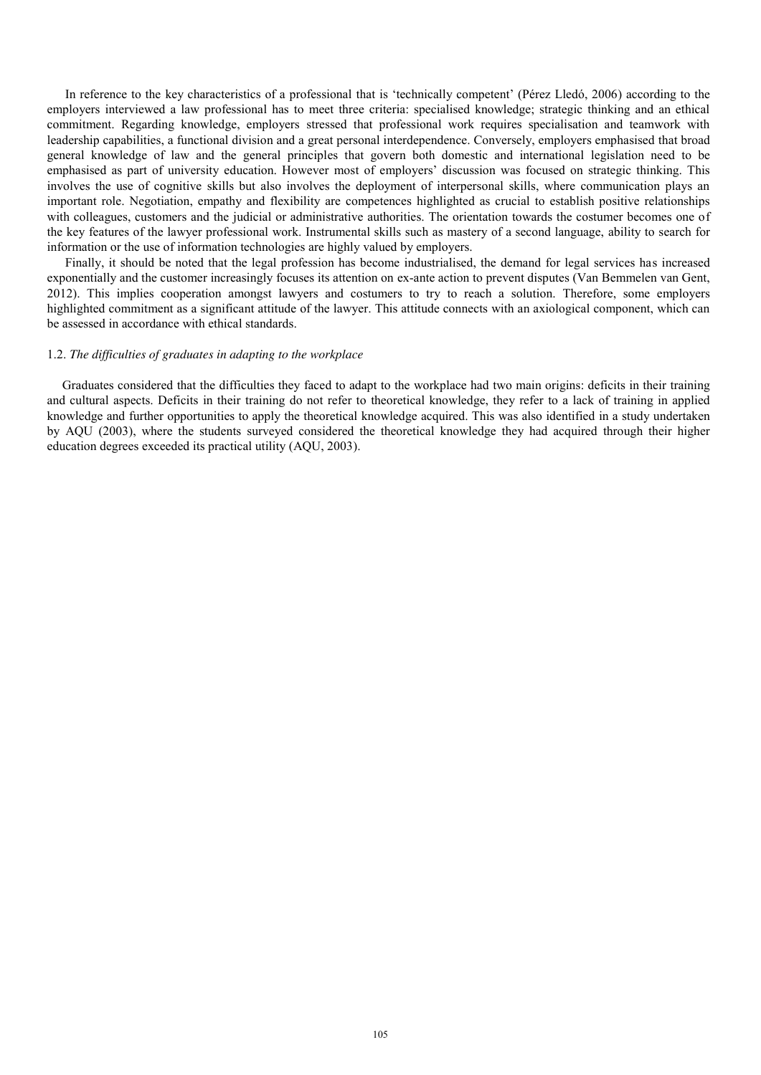In reference to the key characteristics of a professional that is 'technically competent' (Pérez Lledó, 2006) according to the employers interviewed a law professional has to meet three criteria: specialised knowledge; strategic thinking and an ethical commitment. Regarding knowledge, employers stressed that professional work requires specialisation and teamwork with leadership capabilities, a functional division and a great personal interdependence. Conversely, employers emphasised that broad general knowledge of law and the general principles that govern both domestic and international legislation need to be emphasised as part of university education. However most of employers' discussion was focused on strategic thinking. This involves the use of cognitive skills but also involves the deployment of interpersonal skills, where communication plays an important role. Negotiation, empathy and flexibility are competences highlighted as crucial to establish positive relationships with colleagues, customers and the judicial or administrative authorities. The orientation towards the costumer becomes one of the key features of the lawyer professional work. Instrumental skills such as mastery of a second language, ability to search for information or the use of information technologies are highly valued by employers.

Finally, it should be noted that the legal profession has become industrialised, the demand for legal services has increased exponentially and the customer increasingly focuses its attention on ex-ante action to prevent disputes (Van Bemmelen van Gent, 2012). This implies cooperation amongst lawyers and costumers to try to reach a solution. Therefore, some employers highlighted commitment as a significant attitude of the lawyer. This attitude connects with an axiological component, which can be assessed in accordance with ethical standards.

# 1.2. *The difficulties of graduates in adapting to the workplace*

Graduates considered that the difficulties they faced to adapt to the workplace had two main origins: deficits in their training and cultural aspects. Deficits in their training do not refer to theoretical knowledge, they refer to a lack of training in applied knowledge and further opportunities to apply the theoretical knowledge acquired. This was also identified in a study undertaken by AQU (2003), where the students surveyed considered the theoretical knowledge they had acquired through their higher education degrees exceeded its practical utility (AQU, 2003).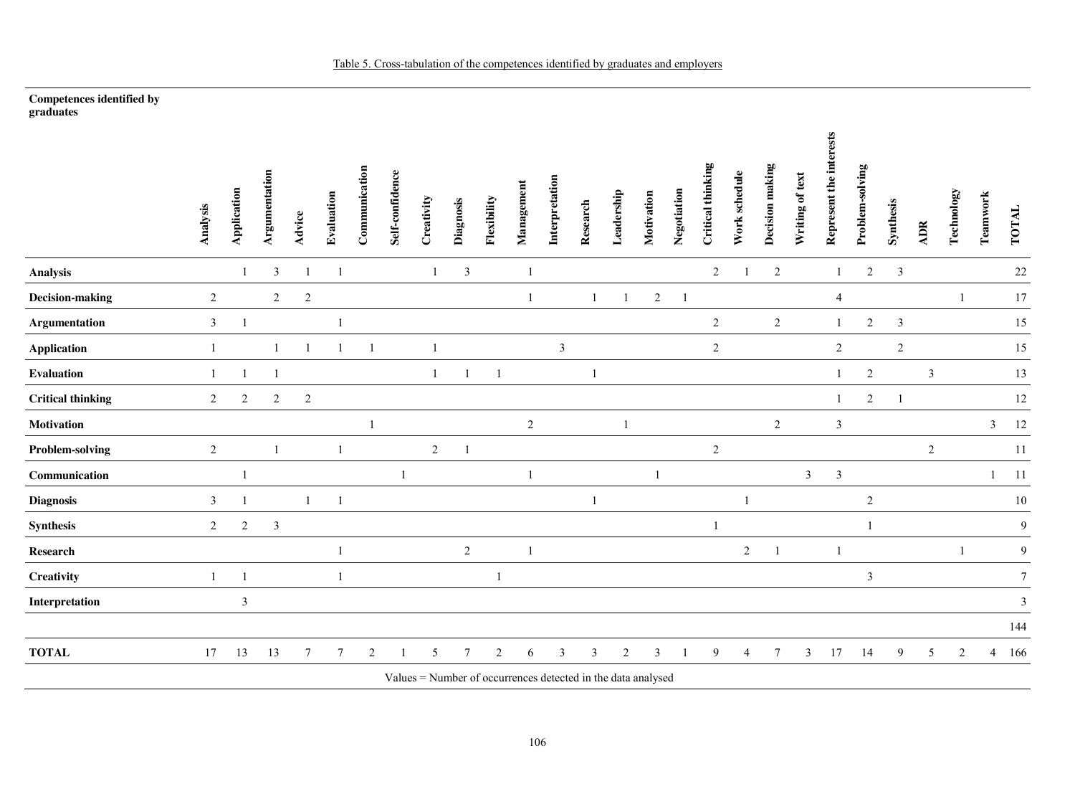# Table 5. Cross-tabulation of the competences identified by graduates and employers

#### **Competences identified by graduates**

|                          | Analysis       | Application    | Argumentation  | Advice          | Evaluation   | Communication | Self-confidence | Creativity                                                   | Diagnosis                | Flexibility    | Management               | Interpretation | Research                | Leadership     | Motivation     | Negotiation | <b>Critical thinking</b> | Work schedule | Decision making | Writing of text | Represent the interests | Problem-solving | Synthesis      | ADR          | Technology     | Teamwork     | TOTAL            |
|--------------------------|----------------|----------------|----------------|-----------------|--------------|---------------|-----------------|--------------------------------------------------------------|--------------------------|----------------|--------------------------|----------------|-------------------------|----------------|----------------|-------------|--------------------------|---------------|-----------------|-----------------|-------------------------|-----------------|----------------|--------------|----------------|--------------|------------------|
| <b>Analysis</b>          |                | $\mathbf{1}$   | 3              |                 | $\mathbf{1}$ |               |                 | $\mathbf{1}$                                                 | $\mathbf{3}$             |                | $\overline{\phantom{a}}$ |                |                         |                |                |             | 2                        | -1            | 2               |                 | $\mathbf{1}$            | $\overline{2}$  | 3              |              |                |              | 22               |
| <b>Decision-making</b>   | $\sqrt{2}$     |                | $\overline{c}$ | $\sqrt{2}$      |              |               |                 |                                                              |                          |                | $\mathbf{1}$             |                | 1                       |                | $\overline{2}$ | - 1         |                          |               |                 |                 | $\overline{4}$          |                 |                |              | $\mathbf{1}$   |              | 17               |
| <b>Argumentation</b>     | $\mathbf{3}$   | -1             |                |                 | 1            |               |                 |                                                              |                          |                |                          |                |                         |                |                |             | $\overline{2}$           |               | 2               |                 | $\mathbf{1}$            | $\overline{2}$  | $\mathbf{3}$   |              |                |              | 15               |
| <b>Application</b>       | 1              |                | 1              |                 |              |               |                 |                                                              |                          |                |                          | $\mathfrak{Z}$ |                         |                |                |             | 2                        |               |                 |                 | $\overline{2}$          |                 | $\overline{2}$ |              |                |              | 15               |
| <b>Evaluation</b>        |                | -1             |                |                 |              |               |                 | $\mathbf{1}$                                                 | $\mathbf{1}$             |                |                          |                | $\mathbf{1}$            |                |                |             |                          |               |                 |                 | $\mathbf{1}$            | $\overline{2}$  |                | $\mathbf{3}$ |                |              | 13               |
| <b>Critical thinking</b> | $\overline{2}$ | 2              | 2              | 2               |              |               |                 |                                                              |                          |                |                          |                |                         |                |                |             |                          |               |                 |                 | -1                      | $\sqrt{2}$      | $\overline{1}$ |              |                |              | 12               |
| Motivation               |                |                |                |                 |              | $\mathbf{1}$  |                 |                                                              |                          |                | 2                        |                |                         | $\overline{1}$ |                |             |                          |               | $\overline{2}$  |                 | $\mathfrak{Z}$          |                 |                |              |                | 3            | 12               |
| <b>Problem-solving</b>   | $\overline{2}$ |                | $\mathbf{1}$   |                 | -1           |               |                 | $\overline{2}$                                               | $\overline{\phantom{0}}$ |                |                          |                |                         |                |                |             | 2                        |               |                 |                 |                         |                 |                | 2            |                |              | $11\,$           |
| Communication            |                | $\mathbf{1}$   |                |                 |              |               | 1               |                                                              |                          |                | $\overline{1}$           |                |                         |                | $\overline{1}$ |             |                          |               |                 | $\mathfrak{Z}$  | $\mathfrak{Z}$          |                 |                |              |                | $\mathbf{1}$ | <sup>11</sup>    |
| <b>Diagnosis</b>         | $\mathbf{3}$   | $\mathbf{1}$   |                | 1               | $\mathbf{1}$ |               |                 |                                                              |                          |                |                          |                | $\mathbf{1}$            |                |                |             |                          | -1            |                 |                 |                         | $\overline{2}$  |                |              |                |              | $10\,$           |
| <b>Synthesis</b>         | $\overline{2}$ | $\overline{2}$ | $\mathfrak{Z}$ |                 |              |               |                 |                                                              |                          |                |                          |                |                         |                |                |             | $\mathbf{1}$             |               |                 |                 |                         |                 |                |              |                |              | $\mathbf{9}$     |
| <b>Research</b>          |                |                |                |                 | $\mathbf{1}$ |               |                 |                                                              | $\overline{2}$           |                | 1                        |                |                         |                |                |             |                          | 2             | -1              |                 | $\overline{1}$          |                 |                |              | 1              |              | $\boldsymbol{9}$ |
| Creativity               | $\mathbf{1}$   | $\overline{1}$ |                |                 | 1            |               |                 |                                                              |                          |                |                          |                |                         |                |                |             |                          |               |                 |                 |                         | $\mathfrak{Z}$  |                |              |                |              | $\boldsymbol{7}$ |
| Interpretation           |                | $\mathfrak{Z}$ |                |                 |              |               |                 |                                                              |                          |                |                          |                |                         |                |                |             |                          |               |                 |                 |                         |                 |                |              |                |              | $\mathfrak{Z}$   |
|                          |                |                |                |                 |              |               |                 |                                                              |                          |                |                          |                |                         |                |                |             |                          |               |                 |                 |                         |                 |                |              |                |              | 144              |
| <b>TOTAL</b>             | 17             | 13             | 13             | $7\phantom{.0}$ | $\tau$       | 2             |                 | 5                                                            | $\overline{7}$           | $\overline{2}$ | 6                        | $\mathfrak{Z}$ | $\overline{\mathbf{3}}$ | $\overline{c}$ | $\mathfrak{Z}$ |             | 9                        | 4             | $\tau$          | $\mathfrak{Z}$  | 17                      | 14              | 9              | 5            | $\overline{c}$ | 4            | 166              |
|                          |                |                |                |                 |              |               |                 | Values = Number of occurrences detected in the data analysed |                          |                |                          |                |                         |                |                |             |                          |               |                 |                 |                         |                 |                |              |                |              |                  |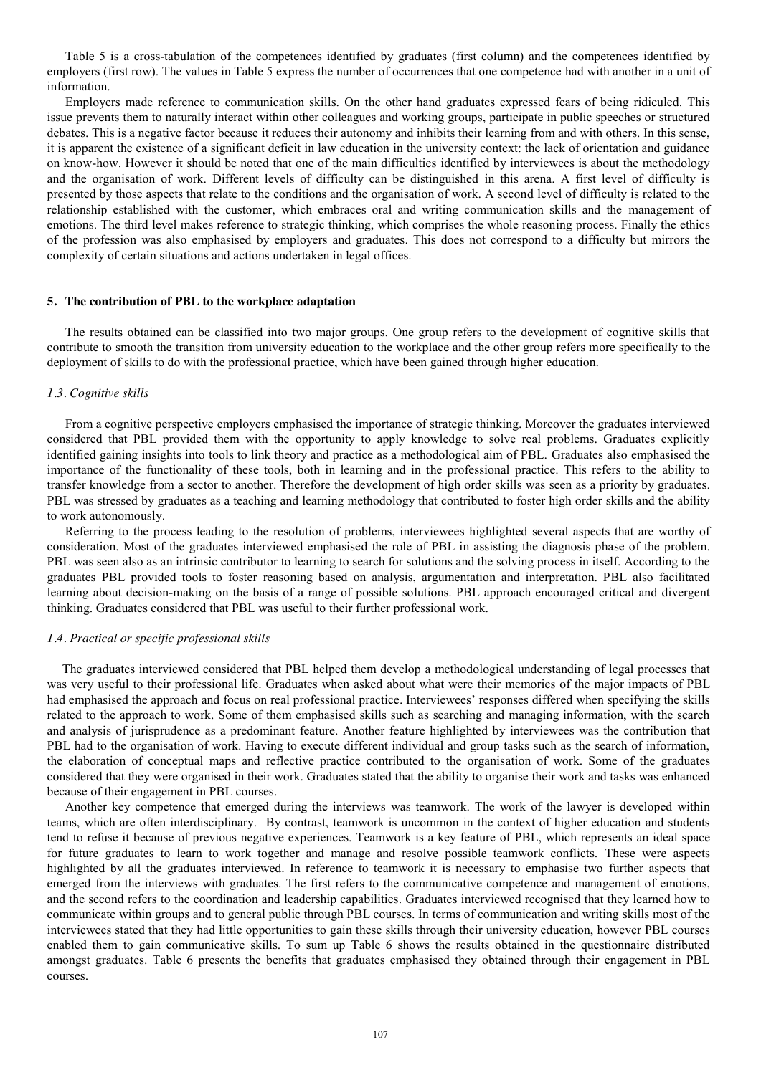Table 5 is a cross-tabulation of the competences identified by graduates (first column) and the competences identified by employers (first row). The values in Table 5 express the number of occurrences that one competence had with another in a unit of information.

Employers made reference to communication skills. On the other hand graduates expressed fears of being ridiculed. This issue prevents them to naturally interact within other colleagues and working groups, participate in public speeches or structured debates. This is a negative factor because it reduces their autonomy and inhibits their learning from and with others. In this sense, it is apparent the existence of a significant deficit in law education in the university context: the lack of orientation and guidance on know-how. However it should be noted that one of the main difficulties identified by interviewees is about the methodology and the organisation of work. Different levels of difficulty can be distinguished in this arena. A first level of difficulty is presented by those aspects that relate to the conditions and the organisation of work. A second level of difficulty is related to the relationship established with the customer, which embraces oral and writing communication skills and the management of emotions. The third level makes reference to strategic thinking, which comprises the whole reasoning process. Finally the ethics of the profession was also emphasised by employers and graduates. This does not correspond to a difficulty but mirrors the complexity of certain situations and actions undertaken in legal offices.

# **5. The contribution of PBL to the workplace adaptation**

The results obtained can be classified into two major groups. One group refers to the development of cognitive skills that contribute to smooth the transition from university education to the workplace and the other group refers more specifically to the deployment of skills to do with the professional practice, which have been gained through higher education.

## *1.3. Cognitive skills*

From a cognitive perspective employers emphasised the importance of strategic thinking. Moreover the graduates interviewed considered that PBL provided them with the opportunity to apply knowledge to solve real problems. Graduates explicitly identified gaining insights into tools to link theory and practice as a methodological aim of PBL. Graduates also emphasised the importance of the functionality of these tools, both in learning and in the professional practice. This refers to the ability to transfer knowledge from a sector to another. Therefore the development of high order skills was seen as a priority by graduates. PBL was stressed by graduates as a teaching and learning methodology that contributed to foster high order skills and the ability to work autonomously.

Referring to the process leading to the resolution of problems, interviewees highlighted several aspects that are worthy of consideration. Most of the graduates interviewed emphasised the role of PBL in assisting the diagnosis phase of the problem. PBL was seen also as an intrinsic contributor to learning to search for solutions and the solving process in itself. According to the graduates PBL provided tools to foster reasoning based on analysis, argumentation and interpretation. PBL also facilitated learning about decision-making on the basis of a range of possible solutions. PBL approach encouraged critical and divergent thinking. Graduates considered that PBL was useful to their further professional work.

# *1.4. Practical or specific professional skills*

The graduates interviewed considered that PBL helped them develop a methodological understanding of legal processes that was very useful to their professional life. Graduates when asked about what were their memories of the major impacts of PBL had emphasised the approach and focus on real professional practice. Interviewees' responses differed when specifying the skills related to the approach to work. Some of them emphasised skills such as searching and managing information, with the search and analysis of jurisprudence as a predominant feature. Another feature highlighted by interviewees was the contribution that PBL had to the organisation of work. Having to execute different individual and group tasks such as the search of information, the elaboration of conceptual maps and reflective practice contributed to the organisation of work. Some of the graduates considered that they were organised in their work. Graduates stated that the ability to organise their work and tasks was enhanced because of their engagement in PBL courses.

Another key competence that emerged during the interviews was teamwork. The work of the lawyer is developed within teams, which are often interdisciplinary. By contrast, teamwork is uncommon in the context of higher education and students tend to refuse it because of previous negative experiences. Teamwork is a key feature of PBL, which represents an ideal space for future graduates to learn to work together and manage and resolve possible teamwork conflicts. These were aspects highlighted by all the graduates interviewed. In reference to teamwork it is necessary to emphasise two further aspects that emerged from the interviews with graduates. The first refers to the communicative competence and management of emotions, and the second refers to the coordination and leadership capabilities. Graduates interviewed recognised that they learned how to communicate within groups and to general public through PBL courses. In terms of communication and writing skills most of the interviewees stated that they had little opportunities to gain these skills through their university education, however PBL courses enabled them to gain communicative skills. To sum up Table 6 shows the results obtained in the questionnaire distributed amongst graduates. Table 6 presents the benefits that graduates emphasised they obtained through their engagement in PBL courses.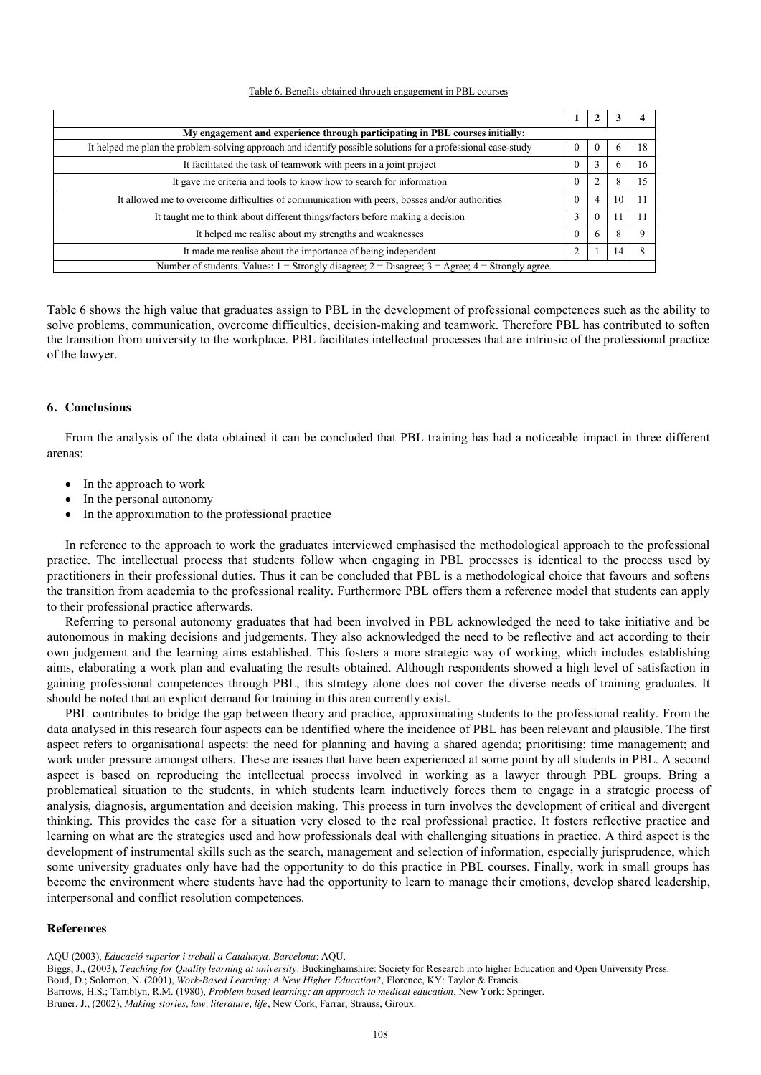|  | Table 6. Benefits obtained through engagement in PBL courses |
|--|--------------------------------------------------------------|
|  |                                                              |

| My engagement and experience through participating in PBL courses initially:                                 |               |           |              |    |
|--------------------------------------------------------------------------------------------------------------|---------------|-----------|--------------|----|
| It helped me plan the problem-solving approach and identify possible solutions for a professional case-study | $\Omega$      | $\theta$  | <sub>0</sub> | 18 |
| It facilitated the task of teamwork with peers in a joint project                                            |               | 3         | $\circ$      | 16 |
| It gave me criteria and tools to know how to search for information                                          |               | $\bigcap$ | 8            | 15 |
| It allowed me to overcome difficulties of communication with peers, bosses and/or authorities                |               | 4         | 10           |    |
| It taught me to think about different things/factors before making a decision                                | $\rightarrow$ | $\theta$  | 11           |    |
| It helped me realise about my strengths and weaknesses                                                       |               | 6         | 8            |    |
| It made me realise about the importance of being independent                                                 |               |           | 14           |    |
| Number of students. Values: $1 =$ Strongly disagree; $2 =$ Disagree; $3 =$ Agree; $4 =$ Strongly agree.      |               |           |              |    |

Table 6 shows the high value that graduates assign to PBL in the development of professional competences such as the ability to solve problems, communication, overcome difficulties, decision-making and teamwork. Therefore PBL has contributed to soften the transition from university to the workplace. PBL facilitates intellectual processes that are intrinsic of the professional practice of the lawyer.

# **6. Conclusions**

From the analysis of the data obtained it can be concluded that PBL training has had a noticeable impact in three different arenas:

- In the approach to work
- In the personal autonomy
- In the approximation to the professional practice

In reference to the approach to work the graduates interviewed emphasised the methodological approach to the professional practice. The intellectual process that students follow when engaging in PBL processes is identical to the process used by practitioners in their professional duties. Thus it can be concluded that PBL is a methodological choice that favours and softens the transition from academia to the professional reality. Furthermore PBL offers them a reference model that students can apply to their professional practice afterwards.

Referring to personal autonomy graduates that had been involved in PBL acknowledged the need to take initiative and be autonomous in making decisions and judgements. They also acknowledged the need to be reflective and act according to their own judgement and the learning aims established. This fosters a more strategic way of working, which includes establishing aims, elaborating a work plan and evaluating the results obtained. Although respondents showed a high level of satisfaction in gaining professional competences through PBL, this strategy alone does not cover the diverse needs of training graduates. It should be noted that an explicit demand for training in this area currently exist.

PBL contributes to bridge the gap between theory and practice, approximating students to the professional reality. From the data analysed in this research four aspects can be identified where the incidence of PBL has been relevant and plausible. The first aspect refers to organisational aspects: the need for planning and having a shared agenda; prioritising; time management; and work under pressure amongst others. These are issues that have been experienced at some point by all students in PBL. A second aspect is based on reproducing the intellectual process involved in working as a lawyer through PBL groups. Bring a problematical situation to the students, in which students learn inductively forces them to engage in a strategic process of analysis, diagnosis, argumentation and decision making. This process in turn involves the development of critical and divergent thinking. This provides the case for a situation very closed to the real professional practice. It fosters reflective practice and learning on what are the strategies used and how professionals deal with challenging situations in practice. A third aspect is the development of instrumental skills such as the search, management and selection of information, especially jurisprudence, which some university graduates only have had the opportunity to do this practice in PBL courses. Finally, work in small groups has become the environment where students have had the opportunity to learn to manage their emotions, develop shared leadership, interpersonal and conflict resolution competences.

# **References**

AQU (2003), *Educació superior i treball a Catalunya. Barcelona*: AQU.

Bruner, J., (2002), *Making stories, law, literature, life*, New Cork, Farrar, Strauss, Giroux.

Biggs, J., (2003), *Teaching for Quality learning at university,* Buckinghamshire: Society for Research into higher Education and Open University Press.

Boud, D.; Solomon, N. (2001), *Work-Based Learning: A New Higher Education?,* Florence, KY: Taylor & Francis.

Barrows, H.S.; Tamblyn, R.M. (1980), *Problem based learning: an approach to medical education*, New York: Springer.